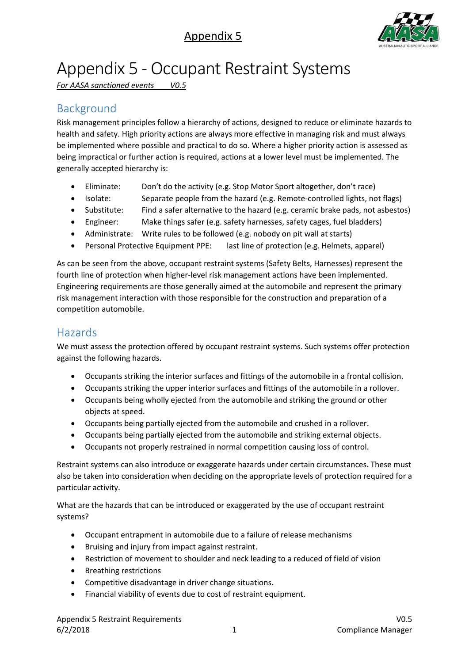# Appendix 5



# Appendix 5 - Occupant Restraint Systems

*For AASA sanctioned events V0.5*

# Background

Risk management principles follow a hierarchy of actions, designed to reduce or eliminate hazards to health and safety. High priority actions are always more effective in managing risk and must always be implemented where possible and practical to do so. Where a higher priority action is assessed as being impractical or further action is required, actions at a lower level must be implemented. The generally accepted hierarchy is:

- Eliminate: Don't do the activity (e.g. Stop Motor Sport altogether, don't race)
- Isolate: Separate people from the hazard (e.g. Remote-controlled lights, not flags)
- Substitute: Find a safer alternative to the hazard (e.g. ceramic brake pads, not asbestos)
- Engineer: Make things safer (e.g. safety harnesses, safety cages, fuel bladders)
- Administrate: Write rules to be followed (e.g. nobody on pit wall at starts)
- Personal Protective Equipment PPE: last line of protection (e.g. Helmets, apparel)

As can be seen from the above, occupant restraint systems (Safety Belts, Harnesses) represent the fourth line of protection when higher-level risk management actions have been implemented. Engineering requirements are those generally aimed at the automobile and represent the primary risk management interaction with those responsible for the construction and preparation of a competition automobile.

### Hazards

We must assess the protection offered by occupant restraint systems. Such systems offer protection against the following hazards.

- Occupants striking the interior surfaces and fittings of the automobile in a frontal collision.
- Occupants striking the upper interior surfaces and fittings of the automobile in a rollover.
- Occupants being wholly ejected from the automobile and striking the ground or other objects at speed.
- Occupants being partially ejected from the automobile and crushed in a rollover.
- Occupants being partially ejected from the automobile and striking external objects.
- Occupants not properly restrained in normal competition causing loss of control.

Restraint systems can also introduce or exaggerate hazards under certain circumstances. These must also be taken into consideration when deciding on the appropriate levels of protection required for a particular activity.

What are the hazards that can be introduced or exaggerated by the use of occupant restraint systems?

- Occupant entrapment in automobile due to a failure of release mechanisms
- Bruising and injury from impact against restraint.
- Restriction of movement to shoulder and neck leading to a reduced of field of vision
- Breathing restrictions
- Competitive disadvantage in driver change situations.
- Financial viability of events due to cost of restraint equipment.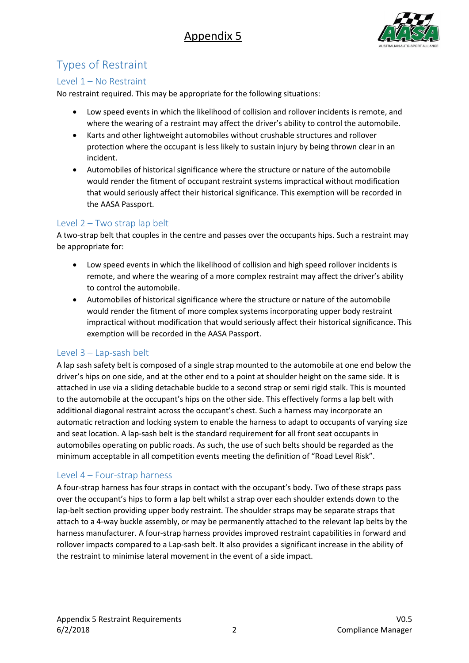

# Types of Restraint

### Level 1 – No Restraint

No restraint required. This may be appropriate for the following situations:

- Low speed events in which the likelihood of collision and rollover incidents is remote, and where the wearing of a restraint may affect the driver's ability to control the automobile.
- Karts and other lightweight automobiles without crushable structures and rollover protection where the occupant is less likely to sustain injury by being thrown clear in an incident.
- Automobiles of historical significance where the structure or nature of the automobile would render the fitment of occupant restraint systems impractical without modification that would seriously affect their historical significance. This exemption will be recorded in the AASA Passport.

### Level 2 – Two strap lap belt

A two-strap belt that couples in the centre and passes over the occupants hips. Such a restraint may be appropriate for:

- Low speed events in which the likelihood of collision and high speed rollover incidents is remote, and where the wearing of a more complex restraint may affect the driver's ability to control the automobile.
- Automobiles of historical significance where the structure or nature of the automobile would render the fitment of more complex systems incorporating upper body restraint impractical without modification that would seriously affect their historical significance. This exemption will be recorded in the AASA Passport.

### Level 3 – Lap-sash belt

A lap sash safety belt is composed of a single strap mounted to the automobile at one end below the driver's hips on one side, and at the other end to a point at shoulder height on the same side. It is attached in use via a sliding detachable buckle to a second strap or semi rigid stalk. This is mounted to the automobile at the occupant's hips on the other side. This effectively forms a lap belt with additional diagonal restraint across the occupant's chest. Such a harness may incorporate an automatic retraction and locking system to enable the harness to adapt to occupants of varying size and seat location. A lap-sash belt is the standard requirement for all front seat occupants in automobiles operating on public roads. As such, the use of such belts should be regarded as the minimum acceptable in all competition events meeting the definition of "Road Level Risk".

### Level 4 – Four-strap harness

A four-strap harness has four straps in contact with the occupant's body. Two of these straps pass over the occupant's hips to form a lap belt whilst a strap over each shoulder extends down to the lap-belt section providing upper body restraint. The shoulder straps may be separate straps that attach to a 4-way buckle assembly, or may be permanently attached to the relevant lap belts by the harness manufacturer. A four-strap harness provides improved restraint capabilities in forward and rollover impacts compared to a Lap-sash belt. It also provides a significant increase in the ability of the restraint to minimise lateral movement in the event of a side impact.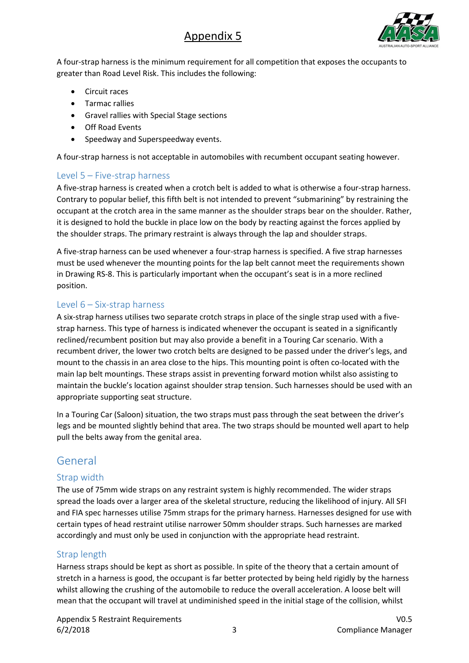## Appendix 5



A four-strap harness is the minimum requirement for all competition that exposes the occupants to greater than Road Level Risk. This includes the following:

- Circuit races
- Tarmac rallies
- Gravel rallies with Special Stage sections
- Off Road Events
- Speedway and Superspeedway events.

A four-strap harness is not acceptable in automobiles with recumbent occupant seating however.

#### Level 5 – Five-strap harness

A five-strap harness is created when a crotch belt is added to what is otherwise a four-strap harness. Contrary to popular belief, this fifth belt is not intended to prevent "submarining" by restraining the occupant at the crotch area in the same manner as the shoulder straps bear on the shoulder. Rather, it is designed to hold the buckle in place low on the body by reacting against the forces applied by the shoulder straps. The primary restraint is always through the lap and shoulder straps.

A five-strap harness can be used whenever a four-strap harness is specified. A five strap harnesses must be used whenever the mounting points for the lap belt cannot meet the requirements shown in Drawing RS-8. This is particularly important when the occupant's seat is in a more reclined position.

#### Level 6 – Six-strap harness

A six-strap harness utilises two separate crotch straps in place of the single strap used with a fivestrap harness. This type of harness is indicated whenever the occupant is seated in a significantly reclined/recumbent position but may also provide a benefit in a Touring Car scenario. With a recumbent driver, the lower two crotch belts are designed to be passed under the driver's legs, and mount to the chassis in an area close to the hips. This mounting point is often co-located with the main lap belt mountings. These straps assist in preventing forward motion whilst also assisting to maintain the buckle's location against shoulder strap tension. Such harnesses should be used with an appropriate supporting seat structure.

In a Touring Car (Saloon) situation, the two straps must pass through the seat between the driver's legs and be mounted slightly behind that area. The two straps should be mounted well apart to help pull the belts away from the genital area.

### General

### Strap width

The use of 75mm wide straps on any restraint system is highly recommended. The wider straps spread the loads over a larger area of the skeletal structure, reducing the likelihood of injury. All SFI and FIA spec harnesses utilise 75mm straps for the primary harness. Harnesses designed for use with certain types of head restraint utilise narrower 50mm shoulder straps. Such harnesses are marked accordingly and must only be used in conjunction with the appropriate head restraint.

### Strap length

Harness straps should be kept as short as possible. In spite of the theory that a certain amount of stretch in a harness is good, the occupant is far better protected by being held rigidly by the harness whilst allowing the crushing of the automobile to reduce the overall acceleration. A loose belt will mean that the occupant will travel at undiminished speed in the initial stage of the collision, whilst

Appendix 5 Restraint Requirements V0.5 6/2/2018 3 Compliance Manager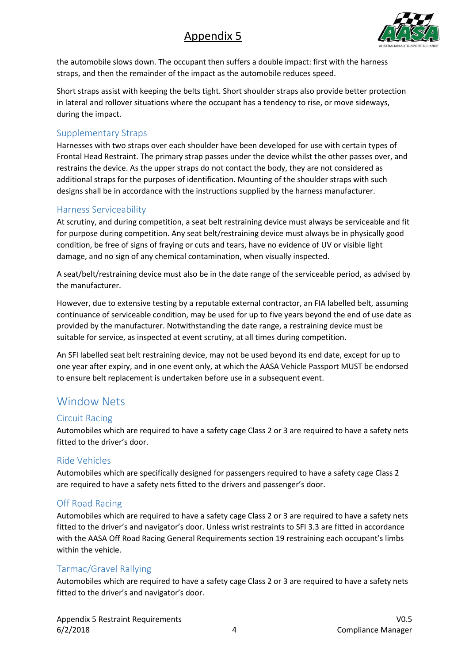# Appendix 5



the automobile slows down. The occupant then suffers a double impact: first with the harness straps, and then the remainder of the impact as the automobile reduces speed.

Short straps assist with keeping the belts tight. Short shoulder straps also provide better protection in lateral and rollover situations where the occupant has a tendency to rise, or move sideways, during the impact.

### Supplementary Straps

Harnesses with two straps over each shoulder have been developed for use with certain types of Frontal Head Restraint. The primary strap passes under the device whilst the other passes over, and restrains the device. As the upper straps do not contact the body, they are not considered as additional straps for the purposes of identification. Mounting of the shoulder straps with such designs shall be in accordance with the instructions supplied by the harness manufacturer.

### Harness Serviceability

At scrutiny, and during competition, a seat belt restraining device must always be serviceable and fit for purpose during competition. Any seat belt/restraining device must always be in physically good condition, be free of signs of fraying or cuts and tears, have no evidence of UV or visible light damage, and no sign of any chemical contamination, when visually inspected.

A seat/belt/restraining device must also be in the date range of the serviceable period, as advised by the manufacturer.

However, due to extensive testing by a reputable external contractor, an FIA labelled belt, assuming continuance of serviceable condition, may be used for up to five years beyond the end of use date as provided by the manufacturer. Notwithstanding the date range, a restraining device must be suitable for service, as inspected at event scrutiny, at all times during competition.

An SFI labelled seat belt restraining device, may not be used beyond its end date, except for up to one year after expiry, and in one event only, at which the AASA Vehicle Passport MUST be endorsed to ensure belt replacement is undertaken before use in a subsequent event.

### Window Nets

### Circuit Racing

Automobiles which are required to have a safety cage Class 2 or 3 are required to have a safety nets fitted to the driver's door.

### Ride Vehicles

Automobiles which are specifically designed for passengers required to have a safety cage Class 2 are required to have a safety nets fitted to the drivers and passenger's door.

### Off Road Racing

Automobiles which are required to have a safety cage Class 2 or 3 are required to have a safety nets fitted to the driver's and navigator's door. Unless wrist restraints to SFI 3.3 are fitted in accordance with the AASA Off Road Racing General Requirements section 19 restraining each occupant's limbs within the vehicle.

### Tarmac/Gravel Rallying

Automobiles which are required to have a safety cage Class 2 or 3 are required to have a safety nets fitted to the driver's and navigator's door.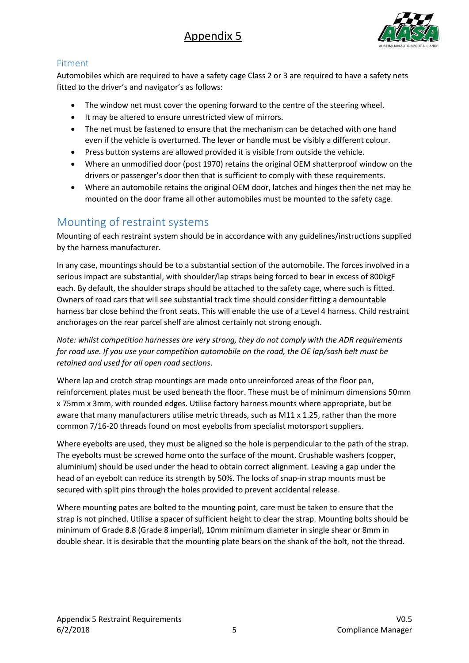

### Fitment

Automobiles which are required to have a safety cage Class 2 or 3 are required to have a safety nets fitted to the driver's and navigator's as follows:

- The window net must cover the opening forward to the centre of the steering wheel.
- It may be altered to ensure unrestricted view of mirrors.
- The net must be fastened to ensure that the mechanism can be detached with one hand even if the vehicle is overturned. The lever or handle must be visibly a different colour.
- Press button systems are allowed provided it is visible from outside the vehicle.
- Where an unmodified door (post 1970) retains the original OEM shatterproof window on the drivers or passenger's door then that is sufficient to comply with these requirements.
- Where an automobile retains the original OEM door, latches and hinges then the net may be mounted on the door frame all other automobiles must be mounted to the safety cage.

### Mounting of restraint systems

Mounting of each restraint system should be in accordance with any guidelines/instructions supplied by the harness manufacturer.

In any case, mountings should be to a substantial section of the automobile. The forces involved in a serious impact are substantial, with shoulder/lap straps being forced to bear in excess of 800kgF each. By default, the shoulder straps should be attached to the safety cage, where such is fitted. Owners of road cars that will see substantial track time should consider fitting a demountable harness bar close behind the front seats. This will enable the use of a Level 4 harness. Child restraint anchorages on the rear parcel shelf are almost certainly not strong enough.

*Note: whilst competition harnesses are very strong, they do not comply with the ADR requirements for road use. If you use your competition automobile on the road, the OE lap/sash belt must be retained and used for all open road sections*.

Where lap and crotch strap mountings are made onto unreinforced areas of the floor pan, reinforcement plates must be used beneath the floor. These must be of minimum dimensions 50mm x 75mm x 3mm, with rounded edges. Utilise factory harness mounts where appropriate, but be aware that many manufacturers utilise metric threads, such as M11 x 1.25, rather than the more common 7/16-20 threads found on most eyebolts from specialist motorsport suppliers.

Where eyebolts are used, they must be aligned so the hole is perpendicular to the path of the strap. The eyebolts must be screwed home onto the surface of the mount. Crushable washers (copper, aluminium) should be used under the head to obtain correct alignment. Leaving a gap under the head of an eyebolt can reduce its strength by 50%. The locks of snap-in strap mounts must be secured with split pins through the holes provided to prevent accidental release.

Where mounting pates are bolted to the mounting point, care must be taken to ensure that the strap is not pinched. Utilise a spacer of sufficient height to clear the strap. Mounting bolts should be minimum of Grade 8.8 (Grade 8 imperial), 10mm minimum diameter in single shear or 8mm in double shear. It is desirable that the mounting plate bears on the shank of the bolt, not the thread.